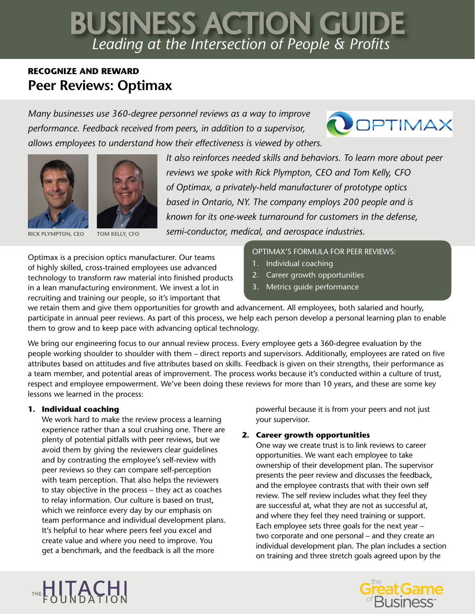# *Leading at the Intersection of People & Profits* BUSINESS ACTION GUIDE

# **RECOGNIZE AND REWARD Peer Reviews: Optimax**

*Many businesses use 360-degree personnel reviews as a way to improve performance. Feedback received from peers, in addition to a supervisor, allows employees to understand how their effectiveness is viewed by others.* 







**RICK PLYMPTON, CEO TOM KELLY, CFO**

*It also reinforces needed skills and behaviors. To learn more about peer reviews we spoke with Rick Plympton, CEO and Tom Kelly, CFO of Optimax, a privately-held manufacturer of prototype optics based in Ontario, NY. The company employs 200 people and is known for its one-week turnaround for customers in the defense, semi-conductor, medical, and aerospace industries.* 

Optimax is a precision optics manufacturer. Our teams of highly skilled, cross-trained employees use advanced technology to transform raw material into finished products in a lean manufacturing environment. We invest a lot in recruiting and training our people, so it's important that

# OPTIMAX'S FORMULA FOR PEER REVIEWS:

- 1. Individual coaching
- 2. Career growth opportunities
- 3. Metrics guide performance

we retain them and give them opportunities for growth and advancement. All employees, both salaried and hourly, participate in annual peer reviews. As part of this process, we help each person develop a personal learning plan to enable them to grow and to keep pace with advancing optical technology.

We bring our engineering focus to our annual review process. Every employee gets a 360-degree evaluation by the people working shoulder to shoulder with them – direct reports and supervisors. Additionally, employees are rated on five attributes based on attitudes and five attributes based on skills. Feedback is given on their strengths, their performance as a team member, and potential areas of improvement. The process works because it's conducted within a culture of trust, respect and employee empowerment. We've been doing these reviews for more than 10 years, and these are some key lessons we learned in the process:

## **1. Individual coaching**

We work hard to make the review process a learning experience rather than a soul crushing one. There are plenty of potential pitfalls with peer reviews, but we avoid them by giving the reviewers clear guidelines and by contrasting the employee's self-review with peer reviews so they can compare self-perception with team perception. That also helps the reviewers to stay objective in the process – they act as coaches to relay information. Our culture is based on trust, which we reinforce every day by our emphasis on team performance and individual development plans. It's helpful to hear where peers feel you excel and create value and where you need to improve. You get a benchmark, and the feedback is all the more

powerful because it is from your peers and not just your supervisor.

# **2. Career growth opportunities**

One way we create trust is to link reviews to career opportunities. We want each employee to take ownership of their development plan. The supervisor presents the peer review and discusses the feedback, and the employee contrasts that with their own self review. The self review includes what they feel they are successful at, what they are not as successful at, and where they feel they need training or support. Each employee sets three goals for the next year – two corporate and one personal – and they create an individual development plan. The plan includes a section on training and three stretch goals agreed upon by the



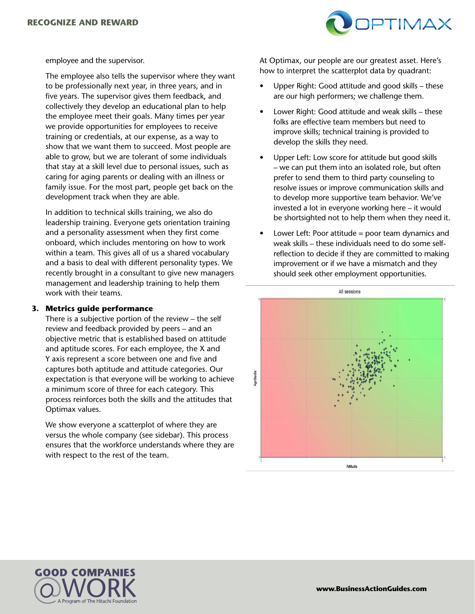

employee and the supervisor.

The employee also tells the supervisor where they want to be professionally next year, in three years, and in five years. The supervisor gives them feedback, and collectively they develop an educational plan to help the employee meet their goals. Many times per year we provide opportunities for employees to receive training or credentials, at our expense, as a way to show that we want them to succeed. Most people are able to grow, but we are tolerant of some individuals that stay at a skill level due to personal issues, such as caring for aging parents or dealing with an illness or family issue. For the most part, people get back on the development track when they are able.

In addition to technical skills training, we also do leadership training. Everyone gets orientation training and a personality assessment when they first come onboard, which includes mentoring on how to work within a team. This gives all of us a shared vocabulary and a basis to deal with different personality types. We recently brought in a consultant to give new managers management and leadership training to help them work with their teams.

#### **3. Metrics guide performance**

There is a subjective portion of the review – the self review and feedback provided by peers – and an objective metric that is established based on attitude and aptitude scores. For each employee, the X and Y axis represent a score between one and five and captures both aptitude and attitude categories. Our expectation is that everyone will be working to achieve a minimum score of three for each category. This process reinforces both the skills and the attitudes that Optimax values.

We show everyone a scatterplot of where they are versus the whole company (see sidebar). This process ensures that the workforce understands where they are with respect to the rest of the team.

At Optimax, our people are our greatest asset. Here's how to interpret the scatterplot data by quadrant:

- Upper Right: Good attitude and good skills these are our high performers; we challenge them.
- Lower Right: Good attitude and weak skills these folks are effective team members but need to improve skills; technical training is provided to develop the skills they need.
- Upper Left: Low score for attitude but good skills – we can put them into an isolated role, but often prefer to send them to third party counseling to resolve issues or improve communication skills and to develop more supportive team behavior. We've invested a lot in everyone working here – it would be shortsighted not to help them when they need it.
- Lower Left: Poor attitude  $=$  poor team dynamics and weak skills – these individuals need to do some selfreflection to decide if they are committed to making improvement or if we have a mismatch and they should seek other employment opportunities.